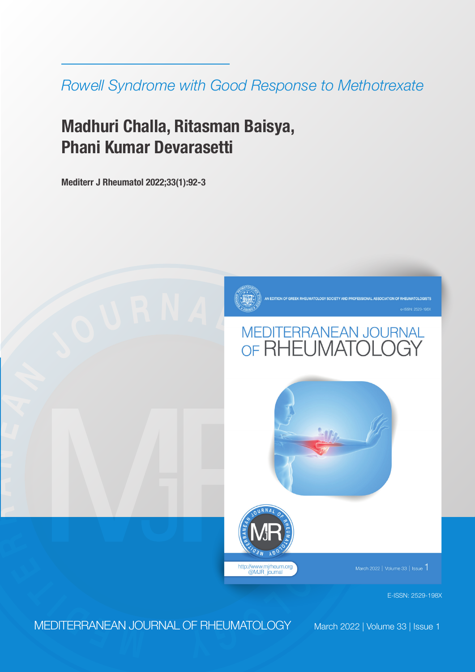*Rowell Syndrome with Good Response to Methotrexate*

# **Madhuri Challa, Ritasman Baisya, Phani Kumar Devarasetti**

**Mediterr J Rheumatol 2022;33(1):92-3**



ON OF RHEUMATOLOGISTS







March 2022 | Volume 33 | Issue 1

E-ISSN: 2529-198X

**<sup>E</sup> <sup>M</sup> <sup>D</sup> <sup>I</sup> <sup>T</sup> <sup>E</sup> <sup>R</sup>** MEDITERRANEAN JOURNAL OF RHEUMATOLOGY

**R**

**A**

**N**

**E**

**A N**

March 2022 | Volume 33 | Issue 1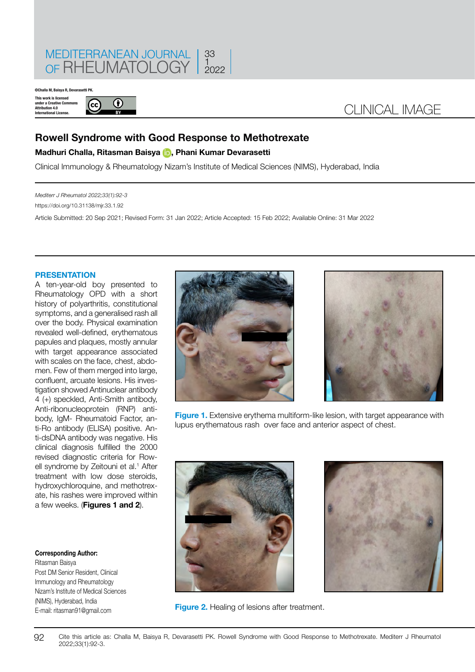

**©Challa M, Baisya R, Devaras** 

**This work is licensed under a Creative Commons Attribution 4.0 International License.**



## CLINICAL IMAGE

### **Rowell Syndrome with Good Response to Methotrexate**

#### **Madhuri Challa, Ritasman Baisya [,](https://orcid.org/0000-0002-3241-0229) Phani Kumar Devarasetti**

Clinical Immunology & Rheumatology Nizam's Institute of Medical Sciences (NIMS), Hyderabad, India

*Mediterr J Rheumatol 2022;33(1):92-3*

https://doi.org/10.31138/mjr.33.1.92

Article Submitted: 20 Sep 2021; Revised Form: 31 Jan 2022; Article Accepted: 15 Feb 2022; Available Online: 31 Mar 2022

#### **PRESENTATION**

A ten-year-old boy presented to Rheumatology OPD with a short history of polyarthritis, constitutional symptoms, and a generalised rash all over the body. Physical examination revealed well-defined, erythematous papules and plaques, mostly annular with target appearance associated with scales on the face, chest, abdomen. Few of them merged into large, confluent, arcuate lesions. His investigation showed Antinuclear antibody 4 (+) speckled, Anti-Smith antibody, Anti-ribonucleoprotein (RNP) antibody, IgM- Rheumatoid Factor, anti-Ro antibody (ELISA) positive. Anti-dsDNA antibody was negative. His clinical diagnosis fulfilled the 2000 revised diagnostic criteria for Rowell syndrome by Zeitouni et al.<sup>1</sup> After treatment with low dose steroids, hydroxychloroquine, and methotrexate, his rashes were improved within a few weeks. (**Figures 1 and 2**).

#### **Corresponding Author:**

Ritasman Baisya Post DM Senior Resident, Clinical Immunology and Rheumatology Nizam's Institute of Medical Sciences (NIMS), Hyderabad, India E-mail: [ritasman91@gmail.com](mailto:ritasman91@gmail.com)





**Figure 1.** Extensive erythema multiform-like lesion, with target appearance with lupus erythematous rash over face and anterior aspect of chest.





**Figure 2.** Healing of lesions after treatment.